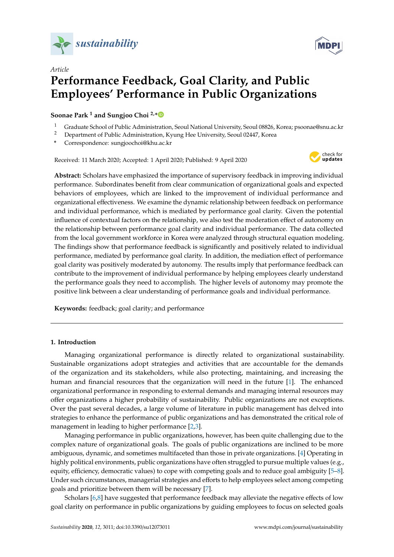

*Article*



# **Performance Feedback, Goal Clarity, and Public Employees' Performance in Public Organizations**

**Soonae Park <sup>1</sup> and Sungjoo Choi 2,[\\*](https://orcid.org/0000-0001-8459-6195)**

- <sup>1</sup> Graduate School of Public Administration, Seoul National University, Seoul 08826, Korea; psoonae@snu.ac.kr
- <sup>2</sup> Department of Public Administration, Kyung Hee University, Seoul 02447, Korea
- **\*** Correspondence: sungjoochoi@khu.ac.kr

Received: 11 March 2020; Accepted: 1 April 2020; Published: 9 April 2020



**MDP** 

**Abstract:** Scholars have emphasized the importance of supervisory feedback in improving individual performance. Subordinates benefit from clear communication of organizational goals and expected behaviors of employees, which are linked to the improvement of individual performance and organizational effectiveness. We examine the dynamic relationship between feedback on performance and individual performance, which is mediated by performance goal clarity. Given the potential influence of contextual factors on the relationship, we also test the moderation effect of autonomy on the relationship between performance goal clarity and individual performance. The data collected from the local government workforce in Korea were analyzed through structural equation modeling. The findings show that performance feedback is significantly and positively related to individual performance, mediated by performance goal clarity. In addition, the mediation effect of performance goal clarity was positively moderated by autonomy. The results imply that performance feedback can contribute to the improvement of individual performance by helping employees clearly understand the performance goals they need to accomplish. The higher levels of autonomy may promote the positive link between a clear understanding of performance goals and individual performance.

**Keywords:** feedback; goal clarity; and performance

## **1. Introduction**

Managing organizational performance is directly related to organizational sustainability. Sustainable organizations adopt strategies and activities that are accountable for the demands of the organization and its stakeholders, while also protecting, maintaining, and increasing the human and financial resources that the organization will need in the future [\[1\]](#page-15-0). The enhanced organizational performance in responding to external demands and managing internal resources may offer organizations a higher probability of sustainability. Public organizations are not exceptions. Over the past several decades, a large volume of literature in public management has delved into strategies to enhance the performance of public organizations and has demonstrated the critical role of management in leading to higher performance [\[2,](#page-15-1)[3\]](#page-15-2).

Managing performance in public organizations, however, has been quite challenging due to the complex nature of organizational goals. The goals of public organizations are inclined to be more ambiguous, dynamic, and sometimes multifaceted than those in private organizations. [\[4\]](#page-15-3) Operating in highly political environments, public organizations have often struggled to pursue multiple values (e.g., equity, efficiency, democratic values) to cope with competing goals and to reduce goal ambiguity [\[5–](#page-15-4)[8\]](#page-15-5). Under such circumstances, managerial strategies and efforts to help employees select among competing goals and prioritize between them will be necessary [\[7\]](#page-15-6).

Scholars [\[6](#page-15-7)[,8\]](#page-15-5) have suggested that performance feedback may alleviate the negative effects of low goal clarity on performance in public organizations by guiding employees to focus on selected goals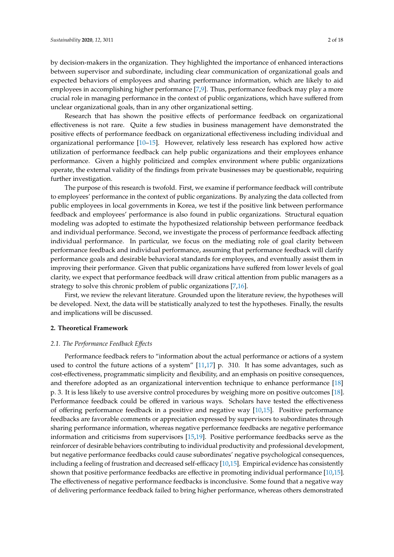by decision-makers in the organization. They highlighted the importance of enhanced interactions between supervisor and subordinate, including clear communication of organizational goals and expected behaviors of employees and sharing performance information, which are likely to aid employees in accomplishing higher performance [\[7,](#page-15-6)[9\]](#page-15-8). Thus, performance feedback may play a more crucial role in managing performance in the context of public organizations, which have suffered from unclear organizational goals, than in any other organizational setting.

Research that has shown the positive effects of performance feedback on organizational effectiveness is not rare. Quite a few studies in business management have demonstrated the positive effects of performance feedback on organizational effectiveness including individual and organizational performance [\[10](#page-15-9)[–15\]](#page-16-0). However, relatively less research has explored how active utilization of performance feedback can help public organizations and their employees enhance performance. Given a highly politicized and complex environment where public organizations operate, the external validity of the findings from private businesses may be questionable, requiring further investigation.

The purpose of this research is twofold. First, we examine if performance feedback will contribute to employees' performance in the context of public organizations. By analyzing the data collected from public employees in local governments in Korea, we test if the positive link between performance feedback and employees' performance is also found in public organizations. Structural equation modeling was adopted to estimate the hypothesized relationship between performance feedback and individual performance. Second, we investigate the process of performance feedback affecting individual performance. In particular, we focus on the mediating role of goal clarity between performance feedback and individual performance, assuming that performance feedback will clarify performance goals and desirable behavioral standards for employees, and eventually assist them in improving their performance. Given that public organizations have suffered from lower levels of goal clarity, we expect that performance feedback will draw critical attention from public managers as a strategy to solve this chronic problem of public organizations [\[7,](#page-15-6)[16\]](#page-16-1).

First, we review the relevant literature. Grounded upon the literature review, the hypotheses will be developed. Next, the data will be statistically analyzed to test the hypotheses. Finally, the results and implications will be discussed.

#### **2. Theoretical Framework**

#### *2.1. The Performance Feedback E*ff*ects*

Performance feedback refers to "information about the actual performance or actions of a system used to control the future actions of a system"  $[11,17]$  $[11,17]$  p. 310. It has some advantages, such as cost-effectiveness, programmatic simplicity and flexibility, and an emphasis on positive consequences, and therefore adopted as an organizational intervention technique to enhance performance [\[18\]](#page-16-4) p. 3. It is less likely to use aversive control procedures by weighing more on positive outcomes [\[18\]](#page-16-4). Performance feedback could be offered in various ways. Scholars have tested the effectiveness of offering performance feedback in a positive and negative way [\[10](#page-15-9)[,15\]](#page-16-0). Positive performance feedbacks are favorable comments or appreciation expressed by supervisors to subordinates through sharing performance information, whereas negative performance feedbacks are negative performance information and criticisms from supervisors [\[15,](#page-16-0)[19\]](#page-16-5). Positive performance feedbacks serve as the reinforcer of desirable behaviors contributing to individual productivity and professional development, but negative performance feedbacks could cause subordinates' negative psychological consequences, including a feeling of frustration and decreased self-efficacy [\[10,](#page-15-9)[15\]](#page-16-0). Empirical evidence has consistently shown that positive performance feedbacks are effective in promoting individual performance [\[10](#page-15-9)[,15\]](#page-16-0). The effectiveness of negative performance feedbacks is inconclusive. Some found that a negative way of delivering performance feedback failed to bring higher performance, whereas others demonstrated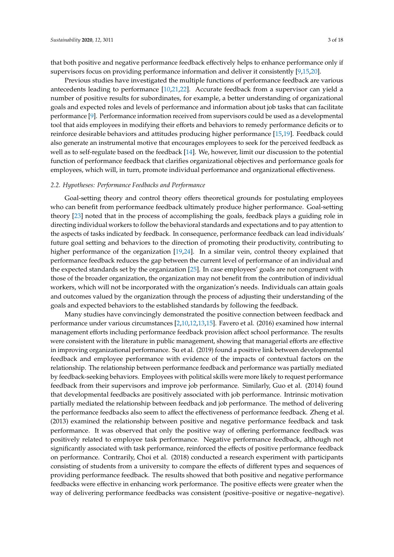that both positive and negative performance feedback effectively helps to enhance performance only if supervisors focus on providing performance information and deliver it consistently [\[9](#page-15-8)[,15](#page-16-0)[,20\]](#page-16-6).

Previous studies have investigated the multiple functions of performance feedback are various antecedents leading to performance [\[10,](#page-15-9)[21](#page-16-7)[,22\]](#page-16-8). Accurate feedback from a supervisor can yield a number of positive results for subordinates, for example, a better understanding of organizational goals and expected roles and levels of performance and information about job tasks that can facilitate performance [\[9\]](#page-15-8). Performance information received from supervisors could be used as a developmental tool that aids employees in modifying their efforts and behaviors to remedy performance deficits or to reinforce desirable behaviors and attitudes producing higher performance [\[15](#page-16-0)[,19\]](#page-16-5). Feedback could also generate an instrumental motive that encourages employees to seek for the perceived feedback as well as to self-regulate based on the feedback [\[14\]](#page-16-9). We, however, limit our discussion to the potential function of performance feedback that clarifies organizational objectives and performance goals for employees, which will, in turn, promote individual performance and organizational effectiveness.

#### *2.2. Hypotheses: Performance Feedbacks and Performance*

Goal-setting theory and control theory offers theoretical grounds for postulating employees who can benefit from performance feedback ultimately produce higher performance. Goal-setting theory [\[23\]](#page-16-10) noted that in the process of accomplishing the goals, feedback plays a guiding role in directing individual workers to follow the behavioral standards and expectations and to pay attention to the aspects of tasks indicated by feedback. In consequence, performance feedback can lead individuals' future goal setting and behaviors to the direction of promoting their productivity, contributing to higher performance of the organization [\[19](#page-16-5)[,24\]](#page-16-11). In a similar vein, control theory explained that performance feedback reduces the gap between the current level of performance of an individual and the expected standards set by the organization [\[25\]](#page-16-12). In case employees' goals are not congruent with those of the broader organization, the organization may not benefit from the contribution of individual workers, which will not be incorporated with the organization's needs. Individuals can attain goals and outcomes valued by the organization through the process of adjusting their understanding of the goals and expected behaviors to the established standards by following the feedback.

Many studies have convincingly demonstrated the positive connection between feedback and performance under various circumstances [\[2](#page-15-1)[,10](#page-15-9)[,12](#page-16-13)[,13](#page-16-14)[,15\]](#page-16-0). Favero et al. (2016) examined how internal management efforts including performance feedback provision affect school performance. The results were consistent with the literature in public management, showing that managerial efforts are effective in improving organizational performance. Su et al. (2019) found a positive link between developmental feedback and employee performance with evidence of the impacts of contextual factors on the relationship. The relationship between performance feedback and performance was partially mediated by feedback-seeking behaviors. Employees with political skills were more likely to request performance feedback from their supervisors and improve job performance. Similarly, Guo et al. (2014) found that developmental feedbacks are positively associated with job performance. Intrinsic motivation partially mediated the relationship between feedback and job performance. The method of delivering the performance feedbacks also seem to affect the effectiveness of performance feedback. Zheng et al. (2013) examined the relationship between positive and negative performance feedback and task performance. It was observed that only the positive way of offering performance feedback was positively related to employee task performance. Negative performance feedback, although not significantly associated with task performance, reinforced the effects of positive performance feedback on performance. Contrarily, Choi et al. (2018) conducted a research experiment with participants consisting of students from a university to compare the effects of different types and sequences of providing performance feedback. The results showed that both positive and negative performance feedbacks were effective in enhancing work performance. The positive effects were greater when the way of delivering performance feedbacks was consistent (positive–positive or negative–negative).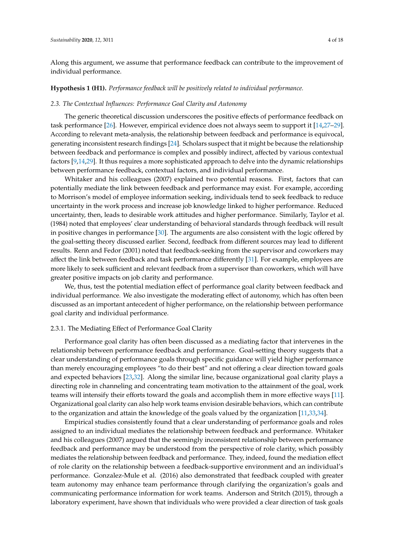Along this argument, we assume that performance feedback can contribute to the improvement of individual performance.

#### **Hypothesis 1 (H1).** *Performance feedback will be positively related to individual performance.*

#### *2.3. The Contextual Influences: Performance Goal Clarity and Autonomy*

The generic theoretical discussion underscores the positive effects of performance feedback on task performance [\[26\]](#page-16-15). However, empirical evidence does not always seem to support it [\[14,](#page-16-9)[27–](#page-16-16)[29\]](#page-16-17). According to relevant meta-analysis, the relationship between feedback and performance is equivocal, generating inconsistent research findings [\[24\]](#page-16-11). Scholars suspect that it might be because the relationship between feedback and performance is complex and possibly indirect, affected by various contextual factors [\[9](#page-15-8)[,14](#page-16-9)[,29\]](#page-16-17). It thus requires a more sophisticated approach to delve into the dynamic relationships between performance feedback, contextual factors, and individual performance.

Whitaker and his colleagues (2007) explained two potential reasons. First, factors that can potentially mediate the link between feedback and performance may exist. For example, according to Morrison's model of employee information seeking, individuals tend to seek feedback to reduce uncertainty in the work process and increase job knowledge linked to higher performance. Reduced uncertainty, then, leads to desirable work attitudes and higher performance. Similarly, Taylor et al. (1984) noted that employees' clear understanding of behavioral standards through feedback will result in positive changes in performance [\[30\]](#page-16-18). The arguments are also consistent with the logic offered by the goal-setting theory discussed earlier. Second, feedback from different sources may lead to different results. Renn and Fedor (2001) noted that feedback-seeking from the supervisor and coworkers may affect the link between feedback and task performance differently [\[31\]](#page-16-19). For example, employees are more likely to seek sufficient and relevant feedback from a supervisor than coworkers, which will have greater positive impacts on job clarity and performance.

We, thus, test the potential mediation effect of performance goal clarity between feedback and individual performance. We also investigate the moderating effect of autonomy, which has often been discussed as an important antecedent of higher performance, on the relationship between performance goal clarity and individual performance.

#### 2.3.1. The Mediating Effect of Performance Goal Clarity

Performance goal clarity has often been discussed as a mediating factor that intervenes in the relationship between performance feedback and performance. Goal-setting theory suggests that a clear understanding of performance goals through specific guidance will yield higher performance than merely encouraging employees "to do their best" and not offering a clear direction toward goals and expected behaviors [\[23](#page-16-10)[,32\]](#page-16-20). Along the similar line, because organizational goal clarity plays a directing role in channeling and concentrating team motivation to the attainment of the goal, work teams will intensify their efforts toward the goals and accomplish them in more effective ways [\[11\]](#page-16-2). Organizational goal clarity can also help work teams envision desirable behaviors, which can contribute to the organization and attain the knowledge of the goals valued by the organization [\[11,](#page-16-2)[33,](#page-16-21)[34\]](#page-16-22).

Empirical studies consistently found that a clear understanding of performance goals and roles assigned to an individual mediates the relationship between feedback and performance. Whitaker and his colleagues (2007) argued that the seemingly inconsistent relationship between performance feedback and performance may be understood from the perspective of role clarity, which possibly mediates the relationship between feedback and performance. They, indeed, found the mediation effect of role clarity on the relationship between a feedback-supportive environment and an individual's performance. Gonzalez-Mule et al. (2016) also demonstrated that feedback coupled with greater team autonomy may enhance team performance through clarifying the organization's goals and communicating performance information for work teams. Anderson and Stritch (2015), through a laboratory experiment, have shown that individuals who were provided a clear direction of task goals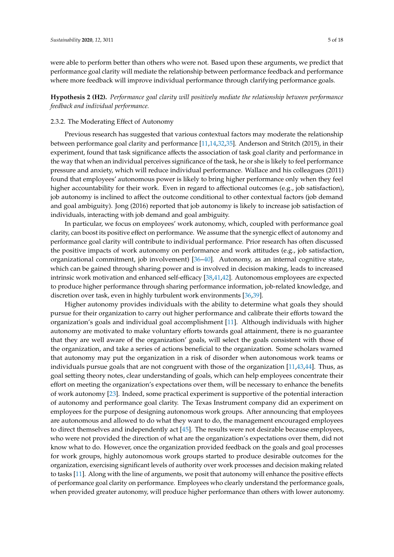were able to perform better than others who were not. Based upon these arguments, we predict that performance goal clarity will mediate the relationship between performance feedback and performance where more feedback will improve individual performance through clarifying performance goals.

**Hypothesis 2 (H2).** *Performance goal clarity will positively mediate the relationship between performance feedback and individual performance.*

#### 2.3.2. The Moderating Effect of Autonomy

Previous research has suggested that various contextual factors may moderate the relationship between performance goal clarity and performance [\[11](#page-16-2)[,14](#page-16-9)[,32](#page-16-20)[,35\]](#page-16-23). Anderson and Stritch (2015), in their experiment, found that task significance affects the association of task goal clarity and performance in the way that when an individual perceives significance of the task, he or she is likely to feel performance pressure and anxiety, which will reduce individual performance. Wallace and his colleagues (2011) found that employees' autonomous power is likely to bring higher performance only when they feel higher accountability for their work. Even in regard to affectional outcomes (e.g., job satisfaction), job autonomy is inclined to affect the outcome conditional to other contextual factors (job demand and goal ambiguity). Jong (2016) reported that job autonomy is likely to increase job satisfaction of individuals, interacting with job demand and goal ambiguity.

In particular, we focus on employees' work autonomy, which, coupled with performance goal clarity, can boost its positive effect on performance. We assume that the synergic effect of autonomy and performance goal clarity will contribute to individual performance. Prior research has often discussed the positive impacts of work autonomy on performance and work attitudes (e.g., job satisfaction, organizational commitment, job involvement) [\[36](#page-17-0)[–40\]](#page-17-1). Autonomy, as an internal cognitive state, which can be gained through sharing power and is involved in decision making, leads to increased intrinsic work motivation and enhanced self-efficacy [\[38](#page-17-2)[,41](#page-17-3)[,42\]](#page-17-4). Autonomous employees are expected to produce higher performance through sharing performance information, job-related knowledge, and discretion over task, even in highly turbulent work environments [\[36](#page-17-0)[,39\]](#page-17-5).

Higher autonomy provides individuals with the ability to determine what goals they should pursue for their organization to carry out higher performance and calibrate their efforts toward the organization's goals and individual goal accomplishment [\[11\]](#page-16-2). Although individuals with higher autonomy are motivated to make voluntary efforts towards goal attainment, there is no guarantee that they are well aware of the organization' goals, will select the goals consistent with those of the organization, and take a series of actions beneficial to the organization. Some scholars warned that autonomy may put the organization in a risk of disorder when autonomous work teams or individuals pursue goals that are not congruent with those of the organization [\[11,](#page-16-2)[43,](#page-17-6)[44\]](#page-17-7). Thus, as goal setting theory notes, clear understanding of goals, which can help employees concentrate their effort on meeting the organization's expectations over them, will be necessary to enhance the benefits of work autonomy [\[23\]](#page-16-10). Indeed, some practical experiment is supportive of the potential interaction of autonomy and performance goal clarity. The Texas Instrument company did an experiment on employees for the purpose of designing autonomous work groups. After announcing that employees are autonomous and allowed to do what they want to do, the management encouraged employees to direct themselves and independently act [\[45\]](#page-17-8). The results were not desirable because employees, who were not provided the direction of what are the organization's expectations over them, did not know what to do. However, once the organization provided feedback on the goals and goal processes for work groups, highly autonomous work groups started to produce desirable outcomes for the organization, exercising significant levels of authority over work processes and decision making related to tasks [\[11\]](#page-16-2). Along with the line of arguments, we posit that autonomy will enhance the positive effects of performance goal clarity on performance. Employees who clearly understand the performance goals, when provided greater autonomy, will produce higher performance than others with lower autonomy.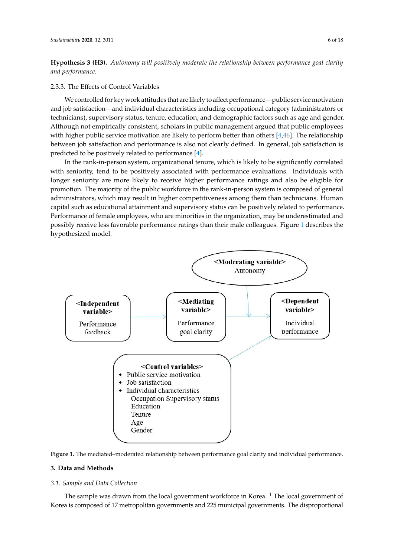**Hypothesis 3 (H3).** Autonomy will positively moderate the relationship between performance goal clarity *and performance.*

2.3.3. The Effects of Control Variables 2.3.3. The Effects of Control Variables

We controlled for key work attitudes that are likely to affect performance—public service motivation We controlled for key work attitudes that are likely to affect performance—public service and job satisfaction—and individual characteristics including occupational category (administrators or technicians), supervisory status, tenure, education, and demographic factors such as age and gender. Although not empirically consistent, scholars in public management argued that public employees with higher public service motivation are likely to perform better than others [\[4](#page-15-3)[,46\]](#page-17-9). The relationship between job satisfaction and performance is also not clearly defined. In general, job satisfaction is  $\frac{1}{2}$  predicted to be positively related to performance [\[4\]](#page-15-3).

In the rank-in-person system, organizational tenure, which is likely to be significantly correlated In the rank-in-person system, organizational tenure, which is likely to be significantly correlated with seniority, tend to be positively associated with performance evaluations. Individuals with longer seniority are more likely to receive higher performance ratings and also be eligible for longer seniority are more likely to receive higher performance ratings and also be eligible for promotion. The majority of the public workforce in the rank-in-person system is composed of general promotion. The majority of the public workforce in the rank-in-person system is composed of general administrators, which may result in higher competitiveness among them than technicians. Human administrators, which may result in higher competitiveness among them than technicians. Human capital such as educational attainment and supervisory status can be positively related to performance. capital such as educational attainment and supervisory status can be positively related to Performance of female employees, who are minorities in the organization, may be underestimated and possibly receive less favorable performance ratings than their male colleagues. Figure [1](#page-5-0) describes the possibly receive less favorable performance ratings than their male colleagues. Figure 1 describes the hypothesized model. Figure 1 describes the hypothesized model.

<span id="page-5-0"></span>



# 3. Data and Methods

### **3. Data and Methods**  *3.1. Sample and Data Collection*

*3.1. Sample and Data Collection*  Korea is composed of 17 metropolitan governments and 225 municipal governments. The disproportionalThe sample was drawn from the local government workforce in Korea.  $1$  The local government of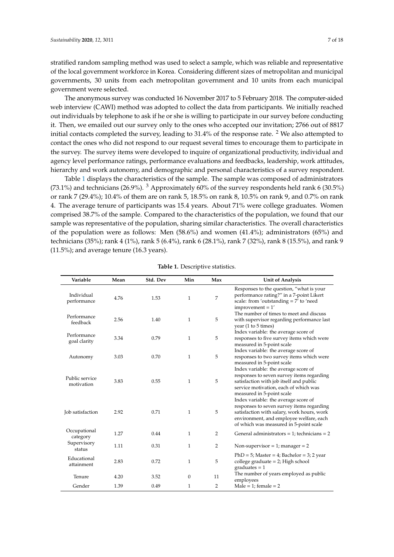stratified random sampling method was used to select a sample, which was reliable and representative of the local government workforce in Korea. Considering different sizes of metropolitan and municipal governments, 30 units from each metropolitan government and 10 units from each municipal government were selected.

The anonymous survey was conducted 16 November 2017 to 5 February 2018. The computer-aided web interview (CAWI) method was adopted to collect the data from participants. We initially reached out individuals by telephone to ask if he or she is willing to participate in our survey before conducting it. Then, we emailed out our survey only to the ones who accepted our invitation; 2766 out of 8817 initial contacts completed the survey, leading to  $31.4\%$  of the response rate. <sup>2</sup> We also attempted to contact the ones who did not respond to our request several times to encourage them to participate in the survey. The survey items were developed to inquire of organizational productivity, individual and agency level performance ratings, performance evaluations and feedbacks, leadership, work attitudes, hierarchy and work autonomy, and demographic and personal characteristics of a survey respondent.

Table [1](#page-6-0) displays the characteristics of the sample. The sample was composed of administrators (73.1%) and technicians (26.9%).  $3$  Approximately 60% of the survey respondents held rank 6 (30.5%) or rank 7 (29.4%); 10.4% of them are on rank 5, 18.5% on rank 8, 10.5% on rank 9, and 0.7% on rank 4. The average tenure of participants was 15.4 years. About 71% were college graduates. Women comprised 38.7% of the sample. Compared to the characteristics of the population, we found that our sample was representative of the population, sharing similar characteristics. The overall characteristics of the population were as follows: Men (58.6%) and women (41.4%); administrators (65%) and technicians (35%); rank 4 (1%), rank 5 (6.4%), rank 6 (28.1%), rank 7 (32%), rank 8 (15.5%), and rank 9 (11.5%); and average tenure (16.3 years).

<span id="page-6-0"></span>

| Variable                     | Mean | Std. Dev | Min          | Max | <b>Unit of Analysis</b>                                                                                                                                                                                              |
|------------------------------|------|----------|--------------|-----|----------------------------------------------------------------------------------------------------------------------------------------------------------------------------------------------------------------------|
| Individual<br>performance    | 4.76 | 1.53     | $\mathbf{1}$ | 7   | Responses to the question, "what is your<br>performance rating?" in a 7-point Likert<br>scale: from 'outstanding $= 7'$ to 'need<br>$improvement = 1'$                                                               |
| Performance<br>feedback      | 2.56 | 1.40     | $\mathbf{1}$ | 5   | The number of times to meet and discuss<br>with supervisor regarding performance last<br>year $(1 to 5 times)$                                                                                                       |
| Performance<br>goal clarity  | 3.34 | 0.79     | $\mathbf{1}$ | 5   | Index variable: the average score of<br>responses to five survey items which were<br>measured in 5-point scale                                                                                                       |
| Autonomy                     | 3.03 | 0.70     | $\mathbf{1}$ | 5   | Index variable: the average score of<br>responses to two survey items which were<br>measured in 5-point scale                                                                                                        |
| Public service<br>motivation | 3.83 | 0.55     | $\mathbf{1}$ | 5   | Index variable: the average score of<br>responses to seven survey items regarding<br>satisfaction with job itself and public<br>service motivation, each of which was<br>measured in 5-point scale                   |
| Job satisfaction             | 2.92 | 0.71     | $\mathbf{1}$ | 5   | Index variable: the average score of<br>responses to seven survey items regarding<br>satisfaction with salary, work hours, work<br>environment, and employee welfare, each<br>of which was measured in 5-point scale |
| Occupational<br>category     | 1.27 | 0.44     | $\mathbf{1}$ | 2   | General administrators = 1; technicians = $2$                                                                                                                                                                        |
| Supervisory<br>status        | 1.11 | 0.31     | 1            | 2   | Non-supervisor = 1; manager = 2                                                                                                                                                                                      |
| Educational<br>attainment    | 2.83 | 0.72     | 1            | 5   | $PhD = 5$ ; Master = 4; Bachelor = 3; 2 year<br>college graduate = $2$ ; High school<br>$graduates = 1$                                                                                                              |
| Tenure                       | 4.20 | 3.52     | 0            | 11  | The number of years employed as public<br>employees                                                                                                                                                                  |
| Gender                       | 1.39 | 0.49     | 1            | 2   | Male = 1; female = $2$                                                                                                                                                                                               |

**Table 1.** Descriptive statistics.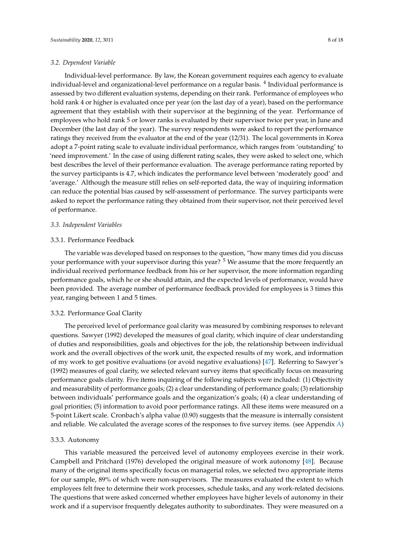Individual-level performance. By law, the Korean government requires each agency to evaluate individual-level and organizational-level performance on a regular basis. <sup>4</sup> Individual performance is assessed by two different evaluation systems, depending on their rank. Performance of employees who hold rank 4 or higher is evaluated once per year (on the last day of a year), based on the performance agreement that they establish with their supervisor at the beginning of the year. Performance of employees who hold rank 5 or lower ranks is evaluated by their supervisor twice per year, in June and December (the last day of the year). The survey respondents were asked to report the performance ratings they received from the evaluator at the end of the year (12/31). The local governments in Korea adopt a 7-point rating scale to evaluate individual performance, which ranges from 'outstanding' to 'need improvement.' In the case of using different rating scales, they were asked to select one, which best describes the level of their performance evaluation. The average performance rating reported by the survey participants is 4.7, which indicates the performance level between 'moderately good' and 'average.' Although the measure still relies on self-reported data, the way of inquiring information can reduce the potential bias caused by self-assessment of performance. The survey participants were asked to report the performance rating they obtained from their supervisor, not their perceived level of performance.

#### *3.3. Independent Variables*

#### 3.3.1. Performance Feedback

The variable was developed based on responses to the question, "how many times did you discuss your performance with your supervisor during this year?  $5$  We assume that the more frequently an individual received performance feedback from his or her supervisor, the more information regarding performance goals, which he or she should attain, and the expected levels of performance, would have been provided. The average number of performance feedback provided for employees is 3 times this year, ranging between 1 and 5 times.

#### 3.3.2. Performance Goal Clarity

The perceived level of performance goal clarity was measured by combining responses to relevant questions. Sawyer (1992) developed the measures of goal clarity, which inquire of clear understanding of duties and responsibilities, goals and objectives for the job, the relationship between individual work and the overall objectives of the work unit, the expected results of my work, and information of my work to get positive evaluations (or avoid negative evaluations) [\[47\]](#page-17-10). Referring to Sawyer's (1992) measures of goal clarity, we selected relevant survey items that specifically focus on measuring performance goals clarity. Five items inquiring of the following subjects were included: (1) Objectivity and measurability of performance goals; (2) a clear understanding of performance goals; (3) relationship between individuals' performance goals and the organization's goals; (4) a clear understanding of goal priorities; (5) information to avoid poor performance ratings. All these items were measured on a 5-point Likert scale. Cronbach's alpha value (0.90) suggests that the measure is internally consistent and reliable. We calculated the average scores of the responses to five survey items. (see Appendix [A\)](#page-14-0)

#### 3.3.3. Autonomy

This variable measured the perceived level of autonomy employees exercise in their work. Campbell and Pritchard (1976) developed the original measure of work autonomy [\[48\]](#page-17-11). Because many of the original items specifically focus on managerial roles, we selected two appropriate items for our sample, 89% of which were non-supervisors. The measures evaluated the extent to which employees felt free to determine their work processes, schedule tasks, and any work-related decisions. The questions that were asked concerned whether employees have higher levels of autonomy in their work and if a supervisor frequently delegates authority to subordinates. They were measured on a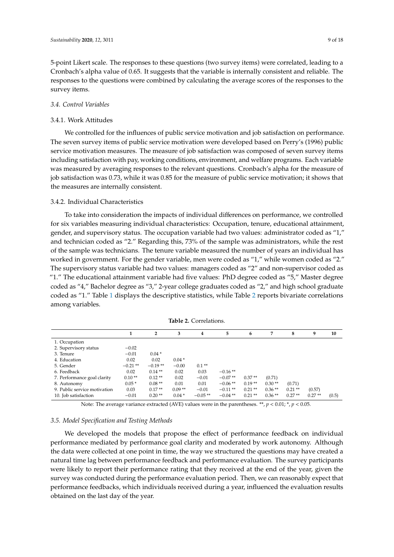5-point Likert scale. The responses to these questions (two survey items) were correlated, leading to a Cronbach's alpha value of 0.65. It suggests that the variable is internally consistent and reliable. The responses to the questions were combined by calculating the average scores of the responses to the survey items.

#### *3.4. Control Variables*

### 3.4.1. Work Attitudes

We controlled for the influences of public service motivation and job satisfaction on performance. The seven survey items of public service motivation were developed based on Perry's (1996) public service motivation measures. The measure of job satisfaction was composed of seven survey items including satisfaction with pay, working conditions, environment, and welfare programs. Each variable was measured by averaging responses to the relevant questions. Cronbach's alpha for the measure of job satisfaction was 0.73, while it was 0.85 for the measure of public service motivation; it shows that the measures are internally consistent.

#### 3.4.2. Individual Characteristics

To take into consideration the impacts of individual differences on performance, we controlled for six variables measuring individual characteristics: Occupation, tenure, educational attainment, gender, and supervisory status. The occupation variable had two values: administrator coded as "1," and technician coded as "2." Regarding this, 73% of the sample was administrators, while the rest of the sample was technicians. The tenure variable measured the number of years an individual has worked in government. For the gender variable, men were coded as "1," while women coded as "2." The supervisory status variable had two values: managers coded as "2" and non-supervisor coded as "1." The educational attainment variable had five values: PhD degree coded as "5," Master degree coded as "4," Bachelor degree as "3," 2-year college graduates coded as "2," and high school graduate coded as "1." Table [1](#page-6-0) displays the descriptive statistics, while Table [2](#page-8-0) reports bivariate correlations among variables.

<span id="page-8-0"></span>

|                              | 1          | $\overline{2}$ | 3        | 4         | 5          | 6         | 7        | 8         | 9        | 10    |
|------------------------------|------------|----------------|----------|-----------|------------|-----------|----------|-----------|----------|-------|
| 1. Occupation                |            |                |          |           |            |           |          |           |          |       |
| 2. Supervisory status        | $-0.02$    |                |          |           |            |           |          |           |          |       |
| 3. Tenure                    | $-0.01$    | $0.04*$        |          |           |            |           |          |           |          |       |
| 4. Education                 | 0.02       | 0.02           | $0.04*$  |           |            |           |          |           |          |       |
| 5. Gender                    | $-0.21$ ** | $-0.19**$      | $-0.00$  | $0.1**$   |            |           |          |           |          |       |
| 6. Feedback                  | 0.02       | $0.14**$       | 0.02     | 0.03      | $-0.16**$  |           |          |           |          |       |
| 7. Performance goal clarity  | $0.10**$   | $0.12**$       | 0.02     | $-0.01$   | $-0.07**$  | $0.37**$  | (0.71)   |           |          |       |
| 8. Autonomy                  | $0.05*$    | $0.08**$       | 0.01     | 0.01      | $-0.06$ ** | $0.19**$  | $0.30**$ | (0.71)    |          |       |
| 9. Public service motivation | 0.03       | $0.17**$       | $0.09**$ | $-0.01$   | $-0.11**$  | $0.21$ ** | $0.36**$ | $0.21$ ** | (0.57)   |       |
| 10. Job satisfaction         | $-0.01$    | $0.20**$       | $0.04*$  | $-0.05**$ | $-0.04$ ** | $0.21**$  | $0.36**$ | $0.27**$  | $0.27**$ | (0.5) |

**Table 2.** Correlations.

Note: The average variance extracted (AVE) values were in the parentheses. \*\*, *p* < 0.01; \*, *p* < 0.05.

#### *3.5. Model Specification and Testing Methods*

We developed the models that propose the effect of performance feedback on individual performance mediated by performance goal clarity and moderated by work autonomy. Although the data were collected at one point in time, the way we structured the questions may have created a natural time lag between performance feedback and performance evaluation. The survey participants were likely to report their performance rating that they received at the end of the year, given the survey was conducted during the performance evaluation period. Then, we can reasonably expect that performance feedbacks, which individuals received during a year, influenced the evaluation results obtained on the last day of the year.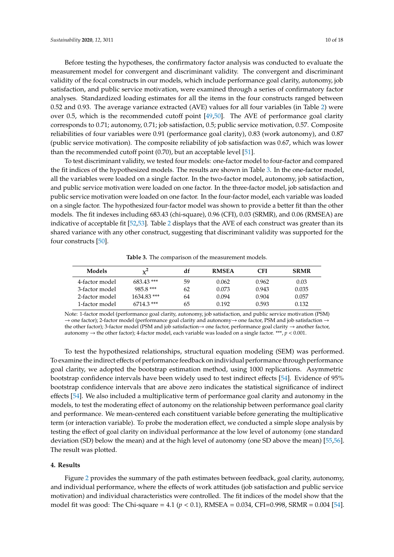Before testing the hypotheses, the confirmatory factor analysis was conducted to evaluate the measurement model for convergent and discriminant validity. The convergent and discriminant validity of the focal constructs in our models, which include performance goal clarity, autonomy, job satisfaction, and public service motivation, were examined through a series of confirmatory factor analyses. Standardized loading estimates for all the items in the four constructs ranged between 0.52 and 0.93. The average variance extracted (AVE) values for all four variables (in Table [2\)](#page-8-0) were over 0.5, which is the recommended cutoff point [\[49](#page-17-12)[,50\]](#page-17-13). The AVE of performance goal clarity corresponds to 0.71; autonomy, 0.71; job satisfaction, 0.5; public service motivation, 0.57. Composite reliabilities of four variables were 0.91 (performance goal clarity), 0.83 (work autonomy), and 0.87 (public service motivation). The composite reliability of job satisfaction was 0.67, which was lower than the recommended cutoff point (0.70), but an acceptable level [\[51\]](#page-17-14).

To test discriminant validity, we tested four models: one-factor model to four-factor and compared the fit indices of the hypothesized models. The results are shown in Table [3.](#page-9-0) In the one-factor model, all the variables were loaded on a single factor. In the two-factor model, autonomy, job satisfaction, and public service motivation were loaded on one factor. In the three-factor model, job satisfaction and public service motivation were loaded on one factor. In the four-factor model, each variable was loaded on a single factor. The hypothesized four-factor model was shown to provide a better fit than the other models. The fit indexes including 683.43 (chi-square), 0.96 (CFI), 0.03 (SRMR), and 0.06 (RMSEA) are indicative of acceptable fit [\[52,](#page-17-15)[53\]](#page-17-16). Table [2](#page-8-0) displays that the AVE of each construct was greater than its shared variance with any other construct, suggesting that discriminant validity was supported for the four constructs [\[50\]](#page-17-13).

**Table 3.** The comparison of the measurement models.

<span id="page-9-0"></span>

| Models         | $x^2$         | df | <b>RMSEA</b> | CFI   | <b>SRMR</b> |
|----------------|---------------|----|--------------|-------|-------------|
| 4-factor model | 683.43 ***    | 59 | 0.062        | 0.962 | 0.03        |
| 3-factor model | 985.8 ***     | 62 | 0.073        | 0.943 | 0.035       |
| 2-factor model | $1634.83$ *** | 64 | 0.094        | 0.904 | 0.057       |
| 1-factor model | $6714.3***$   | 65 | 0.192        | 0.593 | 0.132       |

Note: 1-factor model (performance goal clarity, autonomy, job satisfaction, and public service motivation (PSM) → one factor); 2-factor model (performance goal clarity and autonomy→ one factor, PSM and job satisfaction  $\rightarrow$ the other factor); 3-factor model (PSM and job satisfaction→ one factor, performance goal clarity → another factor, autonomy  $\rightarrow$  the other factor); 4-factor model, each variable was loaded on a single factor. \*\*\*,  $p < 0.001$ .

To test the hypothesized relationships, structural equation modeling (SEM) was performed. To examine the indirect effects of performance feedback on individual performance through performance goal clarity, we adopted the bootstrap estimation method, using 1000 replications. Asymmetric bootstrap confidence intervals have been widely used to test indirect effects [\[54\]](#page-17-17). Evidence of 95% bootstrap confidence intervals that are above zero indicates the statistical significance of indirect effects [\[54\]](#page-17-17). We also included a multiplicative term of performance goal clarity and autonomy in the models, to test the moderating effect of autonomy on the relationship between performance goal clarity and performance. We mean-centered each constituent variable before generating the multiplicative term (or interaction variable). To probe the moderation effect, we conducted a simple slope analysis by testing the effect of goal clarity on individual performance at the low level of autonomy (one standard deviation (SD) below the mean) and at the high level of autonomy (one SD above the mean) [\[55,](#page-17-18)[56\]](#page-17-19). The result was plotted.

#### **4. Results**

Figure [2](#page-10-0) provides the summary of the path estimates between feedback, goal clarity, autonomy, and individual performance, where the effects of work attitudes (job satisfaction and public service motivation) and individual characteristics were controlled. The fit indices of the model show that the model fit was good: The Chi-square = 4.1 ( $p < 0.1$ ), RMSEA = 0.034, CFI=0.998, SRMR = 0.004 [\[54\]](#page-17-17).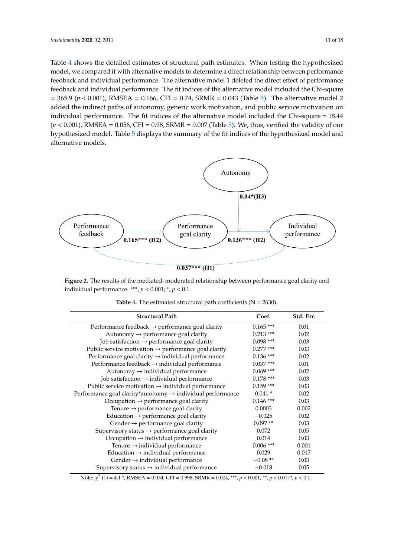Table 4 sh[ow](#page-10-1)s the detailed estimates of structural path estimates. When testing the hypothesized model, we compared it with alternative models to determine a direct relationship between performance feedback and individual performance. The alternative model 1 deleted the direct effect of performance feedback and individual performance. The alternative model 1 deleted the direct effect of feedback and individual performance. The fit indices of the alternative model included the Chi-square  $= 365.9$  ( $p < 0.001$ ), RMSEA = 0.166, CFI = 0.74, SRMR = 0.043 (Table [5\)](#page-11-0). The alternative model 2 added the indirect paths of autonomy, generic work motivation, and public service motivation on individual performance. The fit indices of the alternative model included the Chi-square = 18.44  $(p < 0.001)$ , RMSEA =  $0.056$ , CFI =  $0.98$ , SRM[R =](#page-11-0)  $0.007$  (Table 5). We, thus, verified the validity of our hypothesi[ze](#page-11-0)d model. Table 5 displays the summary of the fit indices of the hypothesized model and alternative models.

<span id="page-10-0"></span>

<span id="page-10-1"></span>individual performance. \*\*\*,  $p < 0.001$ ; \*,  $p < 0.1$ . **Figure 2.** The results of the mediated–moderated relationship between performance goal clarity and

| <b>Structural Path</b>                                                 | Coef.       | Std. Err. |
|------------------------------------------------------------------------|-------------|-----------|
| Performance feedback $\rightarrow$ performance goal clarity            | $0.165$ *** | 0.01      |
| Autonomy $\rightarrow$ performance goal clarity                        | $0.213$ *** | 0.02      |
| Job satisfaction $\rightarrow$ performance goal clarity                | $0.098$ *** | 0.03      |
| Public service motivation $\rightarrow$ performance goal clarity       | $0.277$ *** | 0.03      |
| Performance goal clarity $\rightarrow$ individual performance          | $0.136$ *** | 0.02      |
| Performance feedback $\rightarrow$ individual performance              | $0.037***$  | 0.01      |
| Autonomy $\rightarrow$ individual performance                          | $0.069$ *** | 0.02      |
| Job satisfaction $\rightarrow$ individual performance                  | $0.178$ *** | 0.03      |
| Public service motivation $\rightarrow$ individual performance         | $0.159$ *** | 0.03      |
| Performance goal clarity*autonomy $\rightarrow$ individual performance | $0.041*$    | 0.02      |
| Occupation $\rightarrow$ performance goal clarity                      | $0.146$ *** | 0.03      |
| Tenure $\rightarrow$ performance goal clarity                          | 0.0003      | 0.002     |
| Education $\rightarrow$ performance goal clarity                       | $-0.025$    | 0.02      |
| Gender $\rightarrow$ performance goal clarity                          | $0.097**$   | 0.03      |
| Supervisory status $\rightarrow$ performance goal clarity              | 0.072       | 0.05      |
| Occupation $\rightarrow$ individual performance                        | 0.014       | 0.03      |
| Tenure $\rightarrow$ individual performance                            | $0.006$ *** | 0.001     |
| Education $\rightarrow$ individual performance                         | 0.029       | 0.017     |
| Gender $\rightarrow$ individual performance                            | $-0.08**$   | 0.03      |
| Supervisory status $\rightarrow$ individual performance                | $-0.018$    | 0.05      |

**Table 4.** The estimated structural path coefficients  $(N = 2630)$ .

Note: χ 2 (1) = 4.1 \*, RMSEA = 0.034, CFI = 0.998, SRMR = 0.004, \*\*\*, *p* < 0.001; \*\*, *p* < 0.01; \*, *p* < 0.1.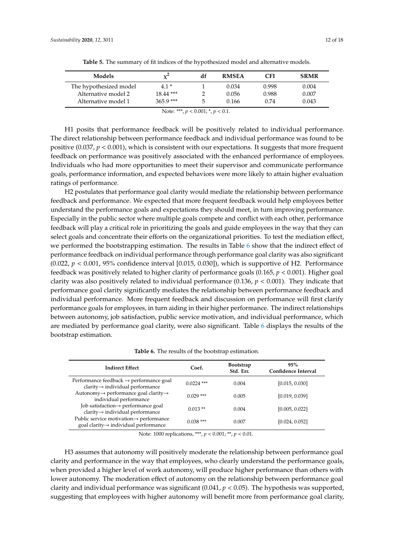<span id="page-11-0"></span>

| <b>Models</b>          | $\chi^2$    | df | <b>RMSEA</b> | CFI   | <b>SRMR</b> |
|------------------------|-------------|----|--------------|-------|-------------|
| The hypothesized model | $4.1*$      |    | 0.034        | 0.998 | 0.004       |
| Alternative model 2    | $18.44$ *** |    | 0.056        | 0.988 | 0.007       |
| Alternative model 1    | $365.9***$  |    | 0.166        | 0.74  | 0.043       |

**Table 5.** The summary of fit indices of the hypothesized model and alternative models.

H1 posits that performance feedback will be positively related to individual performance. The direct relationship between performance feedback and individual performance was found to be positive  $(0.037, p < 0.001)$ , which is consistent with our expectations. It suggests that more frequent feedback on performance was positively associated with the enhanced performance of employees. Individuals who had more opportunities to meet their supervisor and communicate performance goals, performance information, and expected behaviors were more likely to attain higher evaluation ratings of performance.

H2 postulates that performance goal clarity would mediate the relationship between performance feedback and performance. We expected that more frequent feedback would help employees better understand the performance goals and expectations they should meet, in turn improving performance. Especially in the public sector where multiple goals compete and conflict with each other, performance feedback will play a critical role in prioritizing the goals and guide employees in the way that they can select goals and concentrate their efforts on the organizational priorities. To test the mediation effect, we performed the bootstrapping estimation. The results in Table [6](#page-11-1) show that the indirect effect of performance feedback on individual performance through performance goal clarity was also significant (0.022,  $p < 0.001$ , 95% confidence interval [0.015, 0.030]), which is supportive of H2. Performance feedback was positively related to higher clarity of performance goals (0.165, *p* < 0.001). Higher goal clarity was also positively related to individual performance (0.136, *p* < 0.001). They indicate that performance goal clarity significantly mediates the relationship between performance feedback and individual performance. More frequent feedback and discussion on performance will first clarify performance goals for employees, in turn aiding in their higher performance. The indirect relationships between autonomy, job satisfaction, public service motivation, and individual performance, which are mediated by performance goal clarity, were also significant. Table [6](#page-11-1) displays the results of the bootstrap estimation.

**Table 6.** The results of the bootstrap estimation.

<span id="page-11-1"></span>

| <b>Indirect Effect</b>                                                                              | Coef.        | <b>Bootstrap</b><br>Std. Err. | 95%<br>Confidence Interval |
|-----------------------------------------------------------------------------------------------------|--------------|-------------------------------|----------------------------|
| Performance feedback $\rightarrow$ performance goal<br>$clarity \rightarrow individual performance$ | $0.0224$ *** | 0.004                         | [0.015, 0.030]             |
| Autonomy→ performance goal clarity→<br>individual performance                                       | $0.029$ ***  | 0.005                         | [0.019, 0.039]             |
| Job satisfaction-> performance goal<br>$clarity \rightarrow individual performance$                 | $0.013**$    | 0.004                         | [0.005, 0.022]             |
| Public service motivation→ performance<br>goal clarity $\rightarrow$ individual performance         | $0.038***$   | 0.007                         | [0.024, 0.052]             |

Note: 1000 replications, \*\*\*, *p* < 0.001; \*\*, *p* < 0.01.

H3 assumes that autonomy will positively moderate the relationship between performance goal clarity and performance in the way that employees, who clearly understand the performance goals, when provided a higher level of work autonomy, will produce higher performance than others with lower autonomy. The moderation effect of autonomy on the relationship between performance goal clarity and individual performance was significant (0.041, *p* < 0.05). The hypothesis was supported, suggesting that employees with higher autonomy will benefit more from performance goal clarity,

Note: \*\*\*, *p* < 0.001; \*, *p* < 0.1.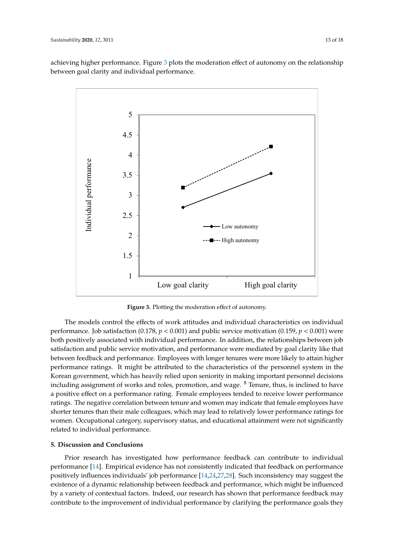achieving higher performance. Figure [3](#page-12-0) plots the moderation effect of autonomy on the relationship  $\frac{a}{\sigma}$  between goal clarity and individual performance. between goal clarity and individual performance.

<span id="page-12-0"></span>

**Figure 3.** Plotting the moderation effect of autonomy. **Figure 3.** Plotting the moderation effect of autonomy.

The models control the effects of work attitudes and individual characteristics on individual The models control the effects of work attitudes and individual characteristics on individual performance. Job satisfaction (0.178, *p* < 0.001) and public service motivation (0.159, *p* < 0.001) were performance. Job satisfaction (0.178*, p <* 0.001) and public service motivation (0.159*, p <* 0.001) were<br>both positively associated with individual performance. In addition*,* the relationships between job satisfaction and public service motivation, and performance were mediated by goal clarity like that satisfaction and public service motivation, and performance were mediated by goal clarity like that<br>between feedback and performance. Employees with longer tenures were more likely to attain higher performance ratings. It might be attributed to the characteristics of the personnel system in the performance ratings. It might be attributed to the characteristics of the personnel system in the<br>Korean government, which has heavily relied upon seniority in making important personnel decisions including assignment of works and roles, promotion, and wage. <sup>8</sup> Tenure, thus, is inclined to have a positive effect on a performance rating. Female employees tended to receive lower performance a positive effect on a performance rating. Female employees tended to receive lower performance ratings. The negative correlation between tenure and women may indicate that female employees have ratings. The negative correlation between tenure and women may indicate that female employees have<br>shorter tenures than their male colleagues, which may lead to relatively lower performance ratings for women. Occupational category, supervisory status, and educational attainment were not significantly related to individual performance. related to individual performance.

# **5. Discussion and Conclusion 5. Discussion and Conclusions**

Prior research has investigated how performance feedback can contribute to individual Prior research has investigated how performance feedback can contribute to individual performance [14]. Empirical evidence has not consistently indicated that feedback on performance performance [\[14\]](#page-16-9). Empirical evidence has not consistently indicated that feedback on performance positively influences individuals' job performance [14,24,27,28]. Such inconsistency may suggest the positively influences individuals' job performance [\[14](#page-16-9)[,24,](#page-16-11)[27](#page-16-16)[,28\]](#page-16-24). Such inconsistency may suggest the existence of a dynamic relationship between feedback and performance, which might be influenced existence of a dynamic relationship between feedback and performance, which might be influenced by a variety of contextual factors. Indeed, our research has shown that performance feedback may by a variety of contextual factors. Indeed, our research has shown that performance feedback may contribute to the improvement of individual performance by clarifying the performance goals they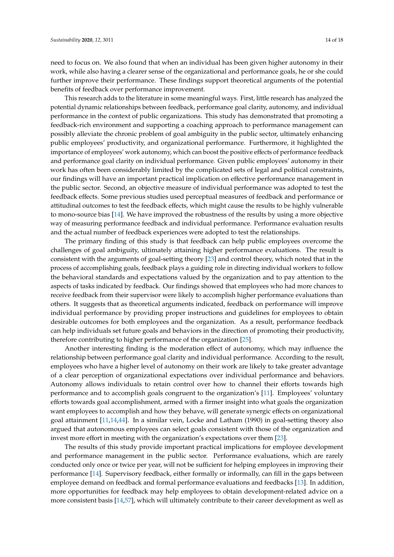need to focus on. We also found that when an individual has been given higher autonomy in their work, while also having a clearer sense of the organizational and performance goals, he or she could further improve their performance. These findings support theoretical arguments of the potential benefits of feedback over performance improvement.

This research adds to the literature in some meaningful ways. First, little research has analyzed the potential dynamic relationships between feedback, performance goal clarity, autonomy, and individual performance in the context of public organizations. This study has demonstrated that promoting a feedback-rich environment and supporting a coaching approach to performance management can possibly alleviate the chronic problem of goal ambiguity in the public sector, ultimately enhancing public employees' productivity, and organizational performance. Furthermore, it highlighted the importance of employees' work autonomy, which can boost the positive effects of performance feedback and performance goal clarity on individual performance. Given public employees' autonomy in their work has often been considerably limited by the complicated sets of legal and political constraints, our findings will have an important practical implication on effective performance management in the public sector. Second, an objective measure of individual performance was adopted to test the feedback effects. Some previous studies used perceptual measures of feedback and performance or attitudinal outcomes to test the feedback effects, which might cause the results to be highly vulnerable to mono-source bias [\[14\]](#page-16-9). We have improved the robustness of the results by using a more objective way of measuring performance feedback and individual performance. Performance evaluation results and the actual number of feedback experiences were adopted to test the relationships.

The primary finding of this study is that feedback can help public employees overcome the challenges of goal ambiguity, ultimately attaining higher performance evaluations. The result is consistent with the arguments of goal-setting theory [\[23\]](#page-16-10) and control theory, which noted that in the process of accomplishing goals, feedback plays a guiding role in directing individual workers to follow the behavioral standards and expectations valued by the organization and to pay attention to the aspects of tasks indicated by feedback. Our findings showed that employees who had more chances to receive feedback from their supervisor were likely to accomplish higher performance evaluations than others. It suggests that as theoretical arguments indicated, feedback on performance will improve individual performance by providing proper instructions and guidelines for employees to obtain desirable outcomes for both employees and the organization. As a result, performance feedback can help individuals set future goals and behaviors in the direction of promoting their productivity, therefore contributing to higher performance of the organization [\[25\]](#page-16-12).

Another interesting finding is the moderation effect of autonomy, which may influence the relationship between performance goal clarity and individual performance. According to the result, employees who have a higher level of autonomy on their work are likely to take greater advantage of a clear perception of organizational expectations over individual performance and behaviors. Autonomy allows individuals to retain control over how to channel their efforts towards high performance and to accomplish goals congruent to the organization's [\[11\]](#page-16-2). Employees' voluntary efforts towards goal accomplishment, armed with a firmer insight into what goals the organization want employees to accomplish and how they behave, will generate synergic effects on organizational goal attainment [\[11](#page-16-2)[,14](#page-16-9)[,44\]](#page-17-7). In a similar vein, Locke and Latham (1990) in goal-setting theory also argued that autonomous employees can select goals consistent with those of the organization and invest more effort in meeting with the organization's expectations over them [\[23\]](#page-16-10).

The results of this study provide important practical implications for employee development and performance management in the public sector. Performance evaluations, which are rarely conducted only once or twice per year, will not be sufficient for helping employees in improving their performance [\[14\]](#page-16-9). Supervisory feedback, either formally or informally, can fill in the gaps between employee demand on feedback and formal performance evaluations and feedbacks [\[13\]](#page-16-14). In addition, more opportunities for feedback may help employees to obtain development-related advice on a more consistent basis [\[14,](#page-16-9)[57\]](#page-17-20), which will ultimately contribute to their career development as well as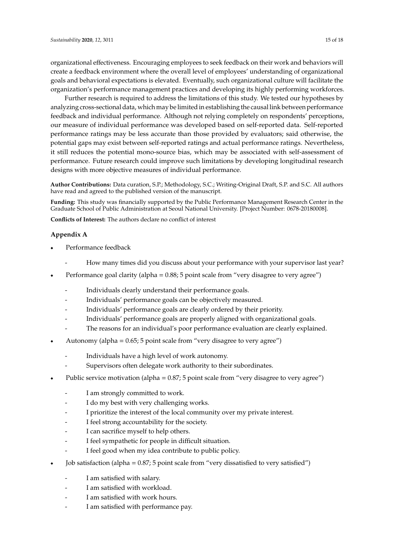organizational effectiveness. Encouraging employees to seek feedback on their work and behaviors will create a feedback environment where the overall level of employees' understanding of organizational goals and behavioral expectations is elevated. Eventually, such organizational culture will facilitate the organization's performance management practices and developing its highly performing workforces.

Further research is required to address the limitations of this study. We tested our hypotheses by analyzing cross-sectional data, which may be limited in establishing the causal link between performance feedback and individual performance. Although not relying completely on respondents' perceptions, our measure of individual performance was developed based on self-reported data. Self-reported performance ratings may be less accurate than those provided by evaluators; said otherwise, the potential gaps may exist between self-reported ratings and actual performance ratings. Nevertheless, it still reduces the potential mono-source bias, which may be associated with self-assessment of performance. Future research could improve such limitations by developing longitudinal research performance.<br>
designs with more objective measures of individual performance. respondents to perceptions, our measure of individual performance. r<br>dosigns with more object Further research is required to address the limitations of this study. We test this study. We test this study. We test

Author Contributions: Data curation, S.P.; Methodology, S.C.; Writing-Original Draft, S.P. and S.C. All authors have read and agreed to the published version of the manuscript.

Funding: This study was financially supported by the Public Performance Management Research Center in the Graduate School of Public Administration at Seoul National University. [Project Number: 0678-20180008]. organizational effectiveness. Encouraging employees to seek feedback on their work and behaviors **ull calculum** created with containing supported by the created created bundle created and the overall level of  $\Gamma$  and  $\Gamma$  and  $\Gamma$  and  $\Gamma$  and  $\Gamma$  and  $\Gamma$  and  $\Gamma$  and  $\Gamma$  and  $\Gamma$  and  $\Gamma$  and  $\Gamma$  and  $\Gamma$  and  $\$ 

**Conflicts of Interest:** The authors declare no conflict of interest **Conflicts of Interest:** The authors declare no conflict of interest will facilitate the organization of the organization of the organization of the set of the set of the set of the set of the set of the set of the set of the set of the set of the set of the set of the set of the set of the

#### <span id="page-14-0"></span>**Appendix A. Organization** effective nesses. Encouraging employees to see to see to see to see to see to see to see to see to see to see to see to see to see to see to see to see to see to see to see to see to see to see performance ratings. Nevertheless, it still reduces the potential mono-source bias, which may be  $\Delta$ s self-assessment of performance. Funture research could improve such limitations by  $\Delta$

- Performance feedback Further research is required to address the limitations of this study. We test this study. We test this study.  $\mathbf{D}$  cafe a groupe a feedback environment where the overall level of employees' understanding of  $\mathbf{D}$  $\overline{\phantom{a}}$  cordinate reductions is electron is electron signally.
- How many times did you discuss about your performance with your supervisor last year? - How many times did you discuss about your performance with your supervisor last year? Facilitation facilitation facilitation organization organization in the organization of the organization in the organization of the organization of the organization in the organization of the organization of the organizati
- Performance goal clarity (alpha =  $0.88$ ; 5 point scale from "very disagree to very" Performance goal clarity (alpha =  $0.88$ ; 5 point scale from "very disagree to very agree") respondents' perceptions, our measure of individual performance was developed based on selfperforming workforces. Furthermance goal clarity (alpha  $-0.56$ , 9 point scale from  $V$ cry disagree to  $V$ cry agree
- Individuals clearly understand their performance goals.
- Individuals' performance goals can be objectively measured. marriagas performance goals can be objectively measured. performance general performance feedback and individual performance. Although not relying completely one relying complete  $\mathbb{R}^n$ . **2020,** *2020***,** *1101Y1000as PETIOLINAICE* goals can be objectively ineasured.
- Individuals' performance goals are properly aligned with organizational goals. - Individuals' performance goals are clearly ordered by their priority. In dividuals' performance coale are clearly and nod by their priority.
- j - Individuals' performance goals are properly aligned with organizational goals. evaluational gaps may be property aligned with organizational goals.<br>
<u>Encouraging employees</u> to see their work and behaviors and behaviors on the haviors and behaviors on the haviors
- $\frac{1}{2}$  The reasons for an individual's poor performance evaluation - The reasons for an individual's poor performance evaluation are clearly explained.
- $\Lambda$ utonomy. (alpha =  $0.65$ ;  $\overline{5}$  noint asolo from "vor • Autonomy (alpha =  $0.65$ ; 5 point scale from "very disagree to very agree")  $\frac{1}{\sqrt{2}}$  facilitations the organization organization  $\frac{1}{\sqrt{2}}$  is highly independent  $\frac{1}{\sqrt{2}}$
- Individuals have a high level of work autonomy. - How many times discuss about  $y$  discuss about  $y$ developing longitudinal research designs with more objective measures of individual performance.
- $\mathbb{P}$  public service motivation (alpha  $\mathbb{P}$  point scale from  $\mathbb{P}$  point scale from  $\mathbb{P}$  point scale from  $\mathbb{P}$  point scale from  $\mathbb{P}$  point scale from  $\mathbb{P}$  point scale from  $\mathbb{P}$  point scale fr - Supervisors often delegate work authority to their subordinates.
- Public service motivation (alpha =  $0.87$ ; 5 point scale from "ve • Public service motivation (alpha =  $0.87$ ; 5 point scale from "very disagree to very agree") by analyzing cross-sectional data, which may be limited in establishing the causal link between  $\mathcal{L}$  $\bullet$  and service monvanon (alpha = 0.07, 9 point seale none very alsagree to very agree.)
- I am strongly committed to work. - I am strongly committed to - I am strongly committed to work.
- I do my best with very challenging - Individual goals are properly aligned with organization organization organization organization organization<br>The properly aligned with organization of the properly aligned with organization of the properly aligned with o - I do my best with very challenging works.
- I prioritize the interest of the local community over my private interest. j
- I feel strong accountability for the society.  $\frac{1}{2}$  reduces the potential mono-source bias, which mono-source bias, which mono-source bias, which may be possible mono-source bias, which may be possible.
- I can sacrifice myself to help others. - I can sacrifice myself to help others.
	- I feel sympathetic for people in difficult si I feel sympathetic tor people in unifican shad - I feel sympathetic for people in difficult situation.
- I feel good when my idea contribute to public policy. j
- I am satisfied with work hours. • Job satisfaction (alpha =  $0.87$ ; 5 point scale from "very dissatisfied to very satisfied  $\frac{1}{\sqrt{1}}$  $\bullet$  Job satisfaction (alpha = 0.87; 5 point scale from "very dissatisfied to very satisfied")
	- $\mathbf{I}$  and  $\mathbf{I}$  am satisfied with employee welfare. - I am satisfied with salary. - How many times discuss about  $y$  discuss about  $y$
- I am satisfied with workload.
	- $\mathbf{I}$  and satisfied with performance pay.  $\frac{1}{2}$  am satisfied with work hours. - I am satisfied with work hours.
- **Notes**  - I am satisfied with performance  $\mathbf{I} = \mathbf{f} \cdot \mathbf{f} \cdot \mathbf{f}$  and people in different situation. - I am satisfied with performance pay.  $\mathbf{r}$  is a performance goals are clearly ordered by the individuals are clearly ordered by the individuals of  $\mathbf{r}$ .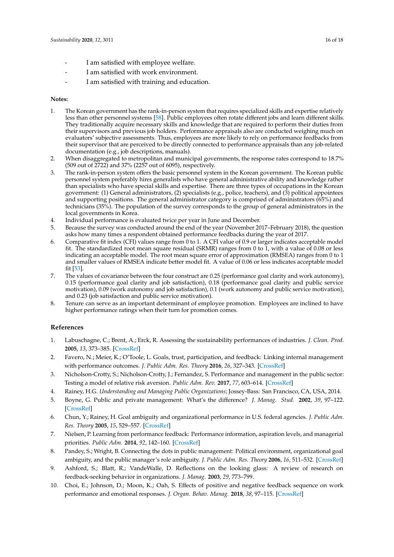- I am satisfied with employee welfare.
- I am satisfied with work environment.
- I am satisfied with training and education.

#### **Notes:**

- 1. The Korean government has the rank-in-person system that requires specialized skills and expertise relatively less than other personnel systems [\[58\]](#page-17-21). Public employees often rotate different jobs and learn different skills. They traditionally acquire necessary skills and knowledge that are required to perform their duties from their supervisors and previous job holders. Performance appraisals also are conducted weighing much on evaluators' subjective assessments. Thus, employees are more likely to rely on performance feedbacks from their supervisor that are perceived to be directly connected to performance appraisals than any job-related documentation (e.g., job descriptions, manuals).
- 2. When disaggregated to metropolitan and municipal governments, the response rates correspond to 18.7% (509 out of  $\text{2722}$ ) and 37% (2257 out of 6095), respectively.
- 3. The rank-in-person system offers the basic personnel system in the Korean government. The Korean public personnel system preferably hires generalists who have general administrative ability and knowledge rather than specialists who have special skills and expertise. There are three types of occupations in the Korean government: (1) General administrators, (2) specialists (e.g., police, teachers), and (3) political appointees and supporting positions. The general administrator category is comprised of administrators (65%) and technicians (35%). The population of the survey corresponds to the group of general administrators in the local governments in Korea.
- 4. Individual performance is evaluated twice per year in June and December.
- 5. Because the survey was conducted around the end of the year (November 2017–February 2018), the question asks how many times a respondent obtained performance feedbacks during the year of 2017.
- 6. Comparative fit index (CFI) values range from 0 to 1. A CFI value of 0.9 or larger indicates acceptable model fit. The standardized root mean square residual (SRMR) ranges from 0 to 1, with a value of 0.08 or less indicating an acceptable model. The root mean square error of approximation (RMSEA) ranges from 0 to 1 and smaller values of RMSEA indicate better model fit. A value of 0.06 or less indicates acceptable model fit [\[53\]](#page-17-16).
- 7. The values of covariance between the four construct are 0.25 (performance goal clarity and work autonomy), 0.15 (performance goal clarity and job satisfaction), 0.18 (performance goal clarity and public service motivation), 0.09 (work autonomy and job satisfaction), 0.1 (work autonomy and public service motivation), and 0.23 (job satisfaction and public service motivation).
- 8. Tenure can serve as an important determinant of employee promotion. Employees are inclined to have higher performance ratings when their turn for promotion comes.

#### **References**

- <span id="page-15-0"></span>1. Labuschagne, C.; Brent, A.; Erck, R. Assessing the sustainability performances of industries. *J. Clean. Prod.* **2005**, *13*, 373–385. [\[CrossRef\]](http://dx.doi.org/10.1016/j.jclepro.2003.10.007)
- <span id="page-15-1"></span>2. Favero, N.; Meier, K.; O'Toole, L. Goals, trust, participation, and feedback: Linking internal management with performance outcomes. *J. Public Adm. Res. Theory* **2016**, *26*, 327–343. [\[CrossRef\]](http://dx.doi.org/10.1093/jopart/muu044)
- <span id="page-15-2"></span>3. Nicholson-Crotty, S.; Nicholson-Crotty, J.; Fernandez, S. Performance and management in the public sector: Testing a model of relative risk aversion. *Public Adm. Rev.* **2017**, *77*, 603–614. [\[CrossRef\]](http://dx.doi.org/10.1111/puar.12619)
- <span id="page-15-3"></span>4. Rainey, H.G. *Understanding and Managing Public Organizations*; Jossey-Bass: San Francisco, CA, USA, 2014.
- <span id="page-15-4"></span>5. Boyne, G. Public and private management: What's the difference? *J. Manag. Stud.* **2002**, *39*, 97–122. [\[CrossRef\]](http://dx.doi.org/10.1111/1467-6486.00284)
- <span id="page-15-7"></span>6. Chun, Y.; Rainey, H. Goal ambiguity and organizational performance in U.S. federal agencies. *J. Public Adm. Res. Theory* **2005**, *15*, 529–557. [\[CrossRef\]](http://dx.doi.org/10.1093/jopart/mui030)
- <span id="page-15-6"></span>7. Nielsen, P. Learning from performance feedback: Performance information, aspiration levels, and managerial priorities. *Public Adm.* **2014**, *92*, 142–160. [\[CrossRef\]](http://dx.doi.org/10.1111/padm.12050)
- <span id="page-15-5"></span>8. Pandey, S.; Wright, B. Connecting the dots in public management: Political environment, organizational goal ambiguity, and the public manager's role ambiguity. *J. Public Adm. Res. Theory* **2006**, *16*, 511–532. [\[CrossRef\]](http://dx.doi.org/10.1093/jopart/muj006)
- <span id="page-15-8"></span>9. Ashford, S.; Blatt, R.; VandeWalle, D. Reflections on the looking glass: A review of research on feedback-seeking behavior in organizations. *J. Manag.* **2003**, *29*, 773–799.
- <span id="page-15-9"></span>10. Choi, E.; Johnson, D.; Moon, K.; Oah, S. Effects of positive and negative feedback sequence on work performance and emotional responses. *J. Organ. Behav. Manag.* **2018**, *38*, 97–115. [\[CrossRef\]](http://dx.doi.org/10.1080/01608061.2017.1423151)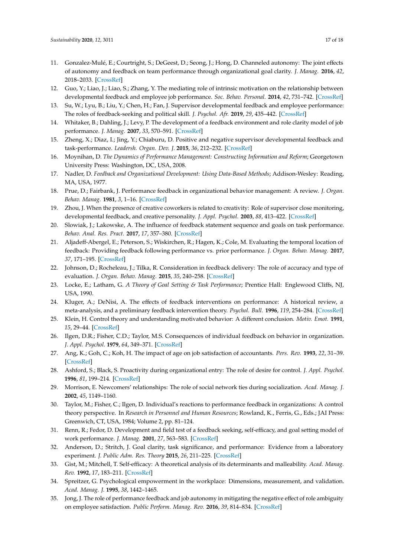- <span id="page-16-2"></span>11. Gonzalez-Mulé, E.; Courtright, S.; DeGeest, D.; Seong, J.; Hong, D. Channeled autonomy: The joint effects of autonomy and feedback on team performance through organizational goal clarity. *J. Manag.* **2016**, *42*, 2018–2033. [\[CrossRef\]](http://dx.doi.org/10.1177/0149206314535443)
- <span id="page-16-13"></span>12. Guo, Y.; Liao, J.; Liao, S.; Zhang, Y. The mediating role of intrinsic motivation on the relationship between developmental feedback and employee job performance. *Soc. Behav. Personal.* **2014**, *42*, 731–742. [\[CrossRef\]](http://dx.doi.org/10.2224/sbp.2014.42.5.731)
- <span id="page-16-14"></span>13. Su, W.; Lyu, B.; Liu, Y.; Chen, H.; Fan, J. Supervisor developmental feedback and employee performance: The roles of feedback-seeking and political skill. *J. Psychol. Afr.* **2019**, *29*, 435–442. [\[CrossRef\]](http://dx.doi.org/10.1080/14330237.2019.1665879)
- <span id="page-16-9"></span>14. Whitaker, B.; Dahling, J.; Levy, P. The development of a feedback environment and role clarity model of job performance. *J. Manag.* **2007**, *33*, 570–591. [\[CrossRef\]](http://dx.doi.org/10.1177/0149206306297581)
- <span id="page-16-0"></span>15. Zheng, X.; Diaz, I.; Jing, Y.; Chiaburu, D. Positive and negative supervisor developmental feedback and task-performance. *Leadersh. Organ. Dev. J.* **2015**, *36*, 212–232. [\[CrossRef\]](http://dx.doi.org/10.1108/LODJ-04-2013-0039)
- <span id="page-16-1"></span>16. Moynihan, D. *The Dynamics of Performance Management: Constructing Information and Reform*; Georgetown University Press: Washington, DC, USA, 2008.
- <span id="page-16-3"></span>17. Nadler, D. *Feedback and Organizational Development: Using Data-Based Methods*; Addison-Wesley: Reading, MA, USA, 1977.
- <span id="page-16-4"></span>18. Prue, D.; Fairbank, J. Performance feedback in organizational behavior management: A review. *J. Organ. Behav. Manag.* **1981**, *3*, 1–16. [\[CrossRef\]](http://dx.doi.org/10.1300/J075v03n01_01)
- <span id="page-16-5"></span>19. Zhou, J. When the presence of creative coworkers is related to creativity: Role of supervisor close monitoring, developmental feedback, and creative personality. *J. Appl. Psychol.* **2003**, *88*, 413–422. [\[CrossRef\]](http://dx.doi.org/10.1037/0021-9010.88.3.413)
- <span id="page-16-6"></span>20. Slowiak, J.; Lakowske, A. The influence of feedback statement sequence and goals on task performance. *Behav. Anal. Res. Pract.* **2017**, *17*, 357–380. [\[CrossRef\]](http://dx.doi.org/10.1037/bar0000084)
- <span id="page-16-7"></span>21. Aljadeff-Abergel, E.; Peterson, S.; Wiskirchen, R.; Hagen, K.; Cole, M. Evaluating the temporal location of feedback: Providing feedback following performance vs. prior performance. *J. Organ. Behav. Manag.* **2017**, *37*, 171–195. [\[CrossRef\]](http://dx.doi.org/10.1080/01608061.2017.1309332)
- <span id="page-16-8"></span>22. Johnson, D.; Rocheleau, J.; Tilka, R. Consideration in feedback delivery: The role of accuracy and type of evaluation. *J. Organ. Behav. Manag.* **2015**, *35*, 240–258. [\[CrossRef\]](http://dx.doi.org/10.1080/01608061.2015.1093055)
- <span id="page-16-10"></span>23. Locke, E.; Latham, G. *A Theory of Goal Setting & Task Performance*; Prentice Hall: Englewood Cliffs, NJ, USA, 1990.
- <span id="page-16-11"></span>24. Kluger, A.; DeNisi, A. The effects of feedback interventions on performance: A historical review, a meta-analysis, and a preliminary feedback intervention theory. *Psychol. Bull.* **1996**, *119*, 254–284. [\[CrossRef\]](http://dx.doi.org/10.1037/0033-2909.119.2.254)
- <span id="page-16-12"></span>25. Klein, H. Control theory and understanding motivated behavior: A different conclusion. *Motiv. Emot.* **1991**, *15*, 29–44. [\[CrossRef\]](http://dx.doi.org/10.1007/BF00991474)
- <span id="page-16-15"></span>26. Ilgen, D.R.; Fisher, C.D.; Taylor, M.S. Consequences of individual feedback on behavior in organization. *J. Appl. Psychol.* **1979**, *64*, 349–371. [\[CrossRef\]](http://dx.doi.org/10.1037/0021-9010.64.4.349)
- <span id="page-16-16"></span>27. Ang, K.; Goh, C.; Koh, H. The impact of age on job satisfaction of accountants. *Pers. Rev.* **1993**, *22*, 31–39. [\[CrossRef\]](http://dx.doi.org/10.1108/00483489310025184)
- <span id="page-16-24"></span>28. Ashford, S.; Black, S. Proactivity during organizational entry: The role of desire for control. *J. Appl. Psychol.* **1996**, *81*, 199–214. [\[CrossRef\]](http://dx.doi.org/10.1037/0021-9010.81.2.199)
- <span id="page-16-17"></span>29. Morrison, E. Newcomers' relationships: The role of social network ties during socialization. *Acad. Manag. J.* **2002**, *45*, 1149–1160.
- <span id="page-16-18"></span>30. Taylor, M.; Fisher, C.; Ilgen, D. Individual's reactions to performance feedback in organizations: A control theory perspective. In *Research in Personnel and Human Resources*; Rowland, K., Ferris, G., Eds.; JAI Press: Greenwich, CT, USA, 1984; Volume 2, pp. 81–124.
- <span id="page-16-19"></span>31. Renn, R.; Fedor, D. Development and field test of a feedback seeking, self-efficacy, and goal setting model of work performance. *J. Manag.* **2001**, *27*, 563–583. [\[CrossRef\]](http://dx.doi.org/10.1177/014920630102700504)
- <span id="page-16-20"></span>32. Anderson, D.; Stritch, J. Goal clarity, task significance, and performance: Evidence from a laboratory experiment. *J. Public Adm. Res. Theory* **2015**, *26*, 211–225. [\[CrossRef\]](http://dx.doi.org/10.1093/jopart/muv019)
- <span id="page-16-21"></span>33. Gist, M.; Mitchell, T. Self-efficacy: A theoretical analysis of its determinants and malleability. *Acad. Manag. Rev.* **1992**, *17*, 183–211. [\[CrossRef\]](http://dx.doi.org/10.5465/amr.1992.4279530)
- <span id="page-16-22"></span>34. Spreitzer, G. Psychological empowerment in the workplace: Dimensions, measurement, and validation. *Acad. Manag. J.* **1995**, *38*, 1442–1465.
- <span id="page-16-23"></span>35. Jong, J. The role of performance feedback and job autonomy in mitigating the negative effect of role ambiguity on employee satisfaction. *Public Perform. Manag. Rev.* **2016**, *39*, 814–834. [\[CrossRef\]](http://dx.doi.org/10.1080/15309576.2015.1137771)